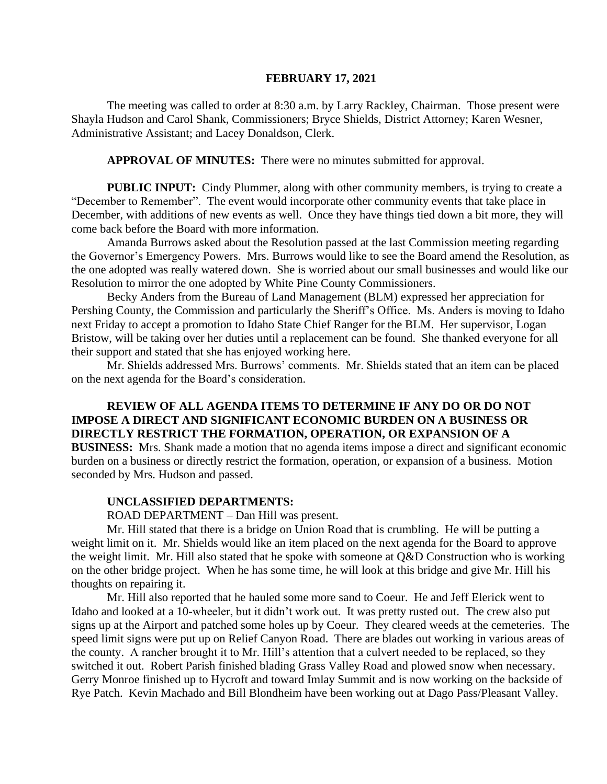#### **FEBRUARY 17, 2021**

The meeting was called to order at 8:30 a.m. by Larry Rackley, Chairman. Those present were Shayla Hudson and Carol Shank, Commissioners; Bryce Shields, District Attorney; Karen Wesner, Administrative Assistant; and Lacey Donaldson, Clerk.

**APPROVAL OF MINUTES:** There were no minutes submitted for approval.

**PUBLIC INPUT:** Cindy Plummer, along with other community members, is trying to create a "December to Remember". The event would incorporate other community events that take place in December, with additions of new events as well. Once they have things tied down a bit more, they will come back before the Board with more information.

Amanda Burrows asked about the Resolution passed at the last Commission meeting regarding the Governor's Emergency Powers. Mrs. Burrows would like to see the Board amend the Resolution, as the one adopted was really watered down. She is worried about our small businesses and would like our Resolution to mirror the one adopted by White Pine County Commissioners.

Becky Anders from the Bureau of Land Management (BLM) expressed her appreciation for Pershing County, the Commission and particularly the Sheriff's Office. Ms. Anders is moving to Idaho next Friday to accept a promotion to Idaho State Chief Ranger for the BLM. Her supervisor, Logan Bristow, will be taking over her duties until a replacement can be found. She thanked everyone for all their support and stated that she has enjoyed working here.

Mr. Shields addressed Mrs. Burrows' comments. Mr. Shields stated that an item can be placed on the next agenda for the Board's consideration.

# **REVIEW OF ALL AGENDA ITEMS TO DETERMINE IF ANY DO OR DO NOT IMPOSE A DIRECT AND SIGNIFICANT ECONOMIC BURDEN ON A BUSINESS OR DIRECTLY RESTRICT THE FORMATION, OPERATION, OR EXPANSION OF A**

**BUSINESS:** Mrs. Shank made a motion that no agenda items impose a direct and significant economic burden on a business or directly restrict the formation, operation, or expansion of a business. Motion seconded by Mrs. Hudson and passed.

#### **UNCLASSIFIED DEPARTMENTS:**

ROAD DEPARTMENT – Dan Hill was present.

Mr. Hill stated that there is a bridge on Union Road that is crumbling. He will be putting a weight limit on it. Mr. Shields would like an item placed on the next agenda for the Board to approve the weight limit. Mr. Hill also stated that he spoke with someone at Q&D Construction who is working on the other bridge project. When he has some time, he will look at this bridge and give Mr. Hill his thoughts on repairing it.

Mr. Hill also reported that he hauled some more sand to Coeur. He and Jeff Elerick went to Idaho and looked at a 10-wheeler, but it didn't work out. It was pretty rusted out. The crew also put signs up at the Airport and patched some holes up by Coeur. They cleared weeds at the cemeteries. The speed limit signs were put up on Relief Canyon Road. There are blades out working in various areas of the county. A rancher brought it to Mr. Hill's attention that a culvert needed to be replaced, so they switched it out. Robert Parish finished blading Grass Valley Road and plowed snow when necessary. Gerry Monroe finished up to Hycroft and toward Imlay Summit and is now working on the backside of Rye Patch. Kevin Machado and Bill Blondheim have been working out at Dago Pass/Pleasant Valley.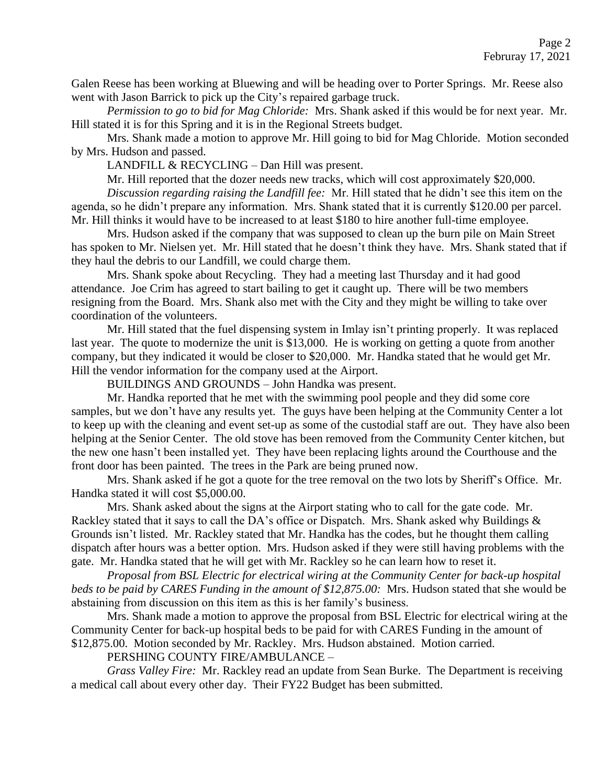Galen Reese has been working at Bluewing and will be heading over to Porter Springs. Mr. Reese also went with Jason Barrick to pick up the City's repaired garbage truck.

*Permission to go to bid for Mag Chloride:* Mrs. Shank asked if this would be for next year. Mr. Hill stated it is for this Spring and it is in the Regional Streets budget.

Mrs. Shank made a motion to approve Mr. Hill going to bid for Mag Chloride. Motion seconded by Mrs. Hudson and passed.

LANDFILL & RECYCLING – Dan Hill was present.

Mr. Hill reported that the dozer needs new tracks, which will cost approximately \$20,000.

*Discussion regarding raising the Landfill fee:* Mr. Hill stated that he didn't see this item on the agenda, so he didn't prepare any information. Mrs. Shank stated that it is currently \$120.00 per parcel. Mr. Hill thinks it would have to be increased to at least \$180 to hire another full-time employee.

Mrs. Hudson asked if the company that was supposed to clean up the burn pile on Main Street has spoken to Mr. Nielsen yet. Mr. Hill stated that he doesn't think they have. Mrs. Shank stated that if they haul the debris to our Landfill, we could charge them.

Mrs. Shank spoke about Recycling. They had a meeting last Thursday and it had good attendance. Joe Crim has agreed to start bailing to get it caught up. There will be two members resigning from the Board. Mrs. Shank also met with the City and they might be willing to take over coordination of the volunteers.

Mr. Hill stated that the fuel dispensing system in Imlay isn't printing properly. It was replaced last year. The quote to modernize the unit is \$13,000. He is working on getting a quote from another company, but they indicated it would be closer to \$20,000. Mr. Handka stated that he would get Mr. Hill the vendor information for the company used at the Airport.

BUILDINGS AND GROUNDS – John Handka was present.

Mr. Handka reported that he met with the swimming pool people and they did some core samples, but we don't have any results yet. The guys have been helping at the Community Center a lot to keep up with the cleaning and event set-up as some of the custodial staff are out. They have also been helping at the Senior Center. The old stove has been removed from the Community Center kitchen, but the new one hasn't been installed yet. They have been replacing lights around the Courthouse and the front door has been painted. The trees in the Park are being pruned now.

Mrs. Shank asked if he got a quote for the tree removal on the two lots by Sheriff's Office. Mr. Handka stated it will cost \$5,000.00.

Mrs. Shank asked about the signs at the Airport stating who to call for the gate code. Mr. Rackley stated that it says to call the DA's office or Dispatch. Mrs. Shank asked why Buildings & Grounds isn't listed. Mr. Rackley stated that Mr. Handka has the codes, but he thought them calling dispatch after hours was a better option. Mrs. Hudson asked if they were still having problems with the gate. Mr. Handka stated that he will get with Mr. Rackley so he can learn how to reset it.

*Proposal from BSL Electric for electrical wiring at the Community Center for back-up hospital beds to be paid by CARES Funding in the amount of \$12,875.00:* Mrs. Hudson stated that she would be abstaining from discussion on this item as this is her family's business.

Mrs. Shank made a motion to approve the proposal from BSL Electric for electrical wiring at the Community Center for back-up hospital beds to be paid for with CARES Funding in the amount of \$12,875.00. Motion seconded by Mr. Rackley. Mrs. Hudson abstained. Motion carried.

PERSHING COUNTY FIRE/AMBULANCE –

*Grass Valley Fire:* Mr. Rackley read an update from Sean Burke. The Department is receiving a medical call about every other day. Their FY22 Budget has been submitted.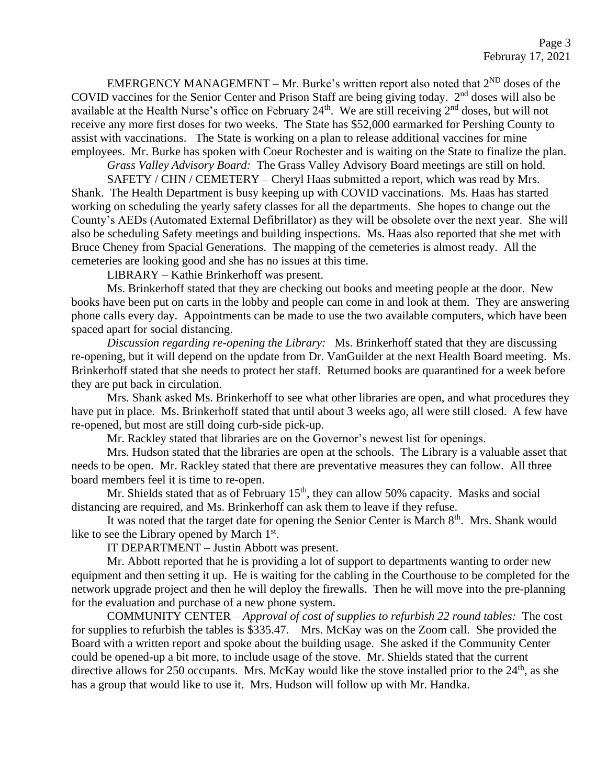EMERGENCY MANAGEMENT – Mr. Burke's written report also noted that  $2^{ND}$  doses of the COVID vaccines for the Senior Center and Prison Staff are being giving today.  $2<sup>nd</sup>$  doses will also be available at the Health Nurse's office on February 24<sup>th</sup>. We are still receiving 2<sup>nd</sup> doses, but will not receive any more first doses for two weeks. The State has \$52,000 earmarked for Pershing County to assist with vaccinations. The State is working on a plan to release additional vaccines for mine employees. Mr. Burke has spoken with Coeur Rochester and is waiting on the State to finalize the plan.

*Grass Valley Advisory Board:* The Grass Valley Advisory Board meetings are still on hold.

SAFETY / CHN / CEMETERY – Cheryl Haas submitted a report, which was read by Mrs. Shank. The Health Department is busy keeping up with COVID vaccinations. Ms. Haas has started working on scheduling the yearly safety classes for all the departments. She hopes to change out the County's AEDs (Automated External Defibrillator) as they will be obsolete over the next year. She will also be scheduling Safety meetings and building inspections. Ms. Haas also reported that she met with Bruce Cheney from Spacial Generations. The mapping of the cemeteries is almost ready. All the cemeteries are looking good and she has no issues at this time.

LIBRARY – Kathie Brinkerhoff was present.

Ms. Brinkerhoff stated that they are checking out books and meeting people at the door. New books have been put on carts in the lobby and people can come in and look at them. They are answering phone calls every day. Appointments can be made to use the two available computers, which have been spaced apart for social distancing.

*Discussion regarding re-opening the Library:* Ms. Brinkerhoff stated that they are discussing re-opening, but it will depend on the update from Dr. VanGuilder at the next Health Board meeting. Ms. Brinkerhoff stated that she needs to protect her staff. Returned books are quarantined for a week before they are put back in circulation.

Mrs. Shank asked Ms. Brinkerhoff to see what other libraries are open, and what procedures they have put in place. Ms. Brinkerhoff stated that until about 3 weeks ago, all were still closed. A few have re-opened, but most are still doing curb-side pick-up.

Mr. Rackley stated that libraries are on the Governor's newest list for openings.

Mrs. Hudson stated that the libraries are open at the schools. The Library is a valuable asset that needs to be open. Mr. Rackley stated that there are preventative measures they can follow. All three board members feel it is time to re-open.

Mr. Shields stated that as of February  $15<sup>th</sup>$ , they can allow 50% capacity. Masks and social distancing are required, and Ms. Brinkerhoff can ask them to leave if they refuse.

It was noted that the target date for opening the Senior Center is March  $8<sup>th</sup>$ . Mrs. Shank would like to see the Library opened by March  $1<sup>st</sup>$ .

IT DEPARTMENT – Justin Abbott was present.

Mr. Abbott reported that he is providing a lot of support to departments wanting to order new equipment and then setting it up. He is waiting for the cabling in the Courthouse to be completed for the network upgrade project and then he will deploy the firewalls. Then he will move into the pre-planning for the evaluation and purchase of a new phone system.

COMMUNITY CENTER – *Approval of cost of supplies to refurbish 22 round tables:* The cost for supplies to refurbish the tables is \$335.47. Mrs. McKay was on the Zoom call. She provided the Board with a written report and spoke about the building usage. She asked if the Community Center could be opened-up a bit more, to include usage of the stove. Mr. Shields stated that the current directive allows for 250 occupants. Mrs. McKay would like the stove installed prior to the  $24<sup>th</sup>$ , as she has a group that would like to use it. Mrs. Hudson will follow up with Mr. Handka.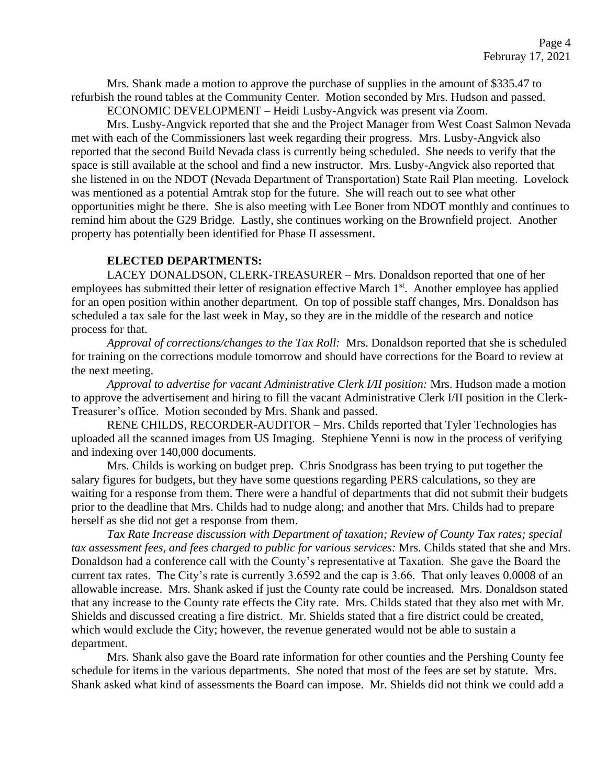Mrs. Shank made a motion to approve the purchase of supplies in the amount of \$335.47 to refurbish the round tables at the Community Center. Motion seconded by Mrs. Hudson and passed.

ECONOMIC DEVELOPMENT – Heidi Lusby-Angvick was present via Zoom.

Mrs. Lusby-Angvick reported that she and the Project Manager from West Coast Salmon Nevada met with each of the Commissioners last week regarding their progress. Mrs. Lusby-Angvick also reported that the second Build Nevada class is currently being scheduled. She needs to verify that the space is still available at the school and find a new instructor. Mrs. Lusby-Angvick also reported that she listened in on the NDOT (Nevada Department of Transportation) State Rail Plan meeting. Lovelock was mentioned as a potential Amtrak stop for the future. She will reach out to see what other opportunities might be there. She is also meeting with Lee Boner from NDOT monthly and continues to remind him about the G29 Bridge. Lastly, she continues working on the Brownfield project. Another property has potentially been identified for Phase II assessment.

# **ELECTED DEPARTMENTS:**

LACEY DONALDSON, CLERK-TREASURER – Mrs. Donaldson reported that one of her employees has submitted their letter of resignation effective March 1<sup>st</sup>. Another employee has applied for an open position within another department. On top of possible staff changes, Mrs. Donaldson has scheduled a tax sale for the last week in May, so they are in the middle of the research and notice process for that.

*Approval of corrections/changes to the Tax Roll:* Mrs. Donaldson reported that she is scheduled for training on the corrections module tomorrow and should have corrections for the Board to review at the next meeting.

*Approval to advertise for vacant Administrative Clerk I/II position:* Mrs. Hudson made a motion to approve the advertisement and hiring to fill the vacant Administrative Clerk I/II position in the Clerk-Treasurer's office. Motion seconded by Mrs. Shank and passed.

RENE CHILDS, RECORDER-AUDITOR – Mrs. Childs reported that Tyler Technologies has uploaded all the scanned images from US Imaging. Stephiene Yenni is now in the process of verifying and indexing over 140,000 documents.

Mrs. Childs is working on budget prep. Chris Snodgrass has been trying to put together the salary figures for budgets, but they have some questions regarding PERS calculations, so they are waiting for a response from them. There were a handful of departments that did not submit their budgets prior to the deadline that Mrs. Childs had to nudge along; and another that Mrs. Childs had to prepare herself as she did not get a response from them.

*Tax Rate Increase discussion with Department of taxation; Review of County Tax rates; special tax assessment fees, and fees charged to public for various services:* Mrs. Childs stated that she and Mrs. Donaldson had a conference call with the County's representative at Taxation. She gave the Board the current tax rates. The City's rate is currently 3.6592 and the cap is 3.66. That only leaves 0.0008 of an allowable increase. Mrs. Shank asked if just the County rate could be increased. Mrs. Donaldson stated that any increase to the County rate effects the City rate. Mrs. Childs stated that they also met with Mr. Shields and discussed creating a fire district. Mr. Shields stated that a fire district could be created, which would exclude the City; however, the revenue generated would not be able to sustain a department.

Mrs. Shank also gave the Board rate information for other counties and the Pershing County fee schedule for items in the various departments. She noted that most of the fees are set by statute. Mrs. Shank asked what kind of assessments the Board can impose. Mr. Shields did not think we could add a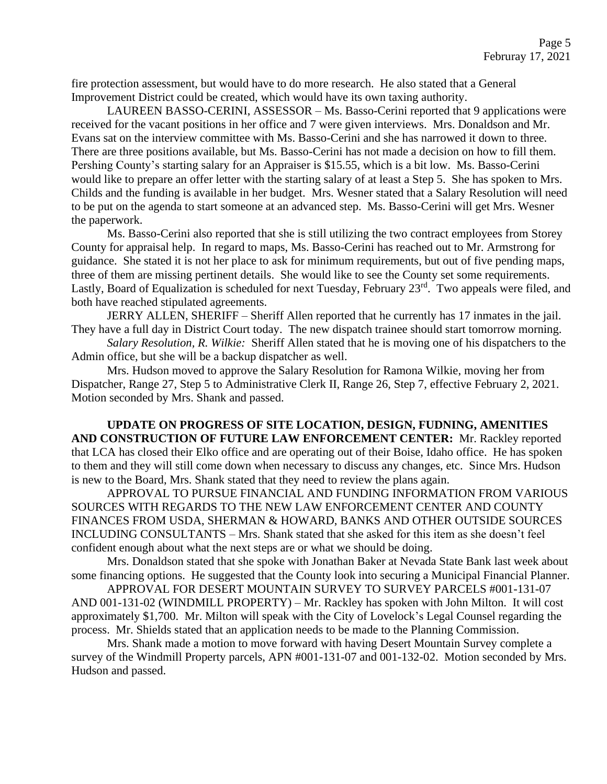fire protection assessment, but would have to do more research. He also stated that a General Improvement District could be created, which would have its own taxing authority.

LAUREEN BASSO-CERINI, ASSESSOR – Ms. Basso-Cerini reported that 9 applications were received for the vacant positions in her office and 7 were given interviews. Mrs. Donaldson and Mr. Evans sat on the interview committee with Ms. Basso-Cerini and she has narrowed it down to three. There are three positions available, but Ms. Basso-Cerini has not made a decision on how to fill them. Pershing County's starting salary for an Appraiser is \$15.55, which is a bit low. Ms. Basso-Cerini would like to prepare an offer letter with the starting salary of at least a Step 5. She has spoken to Mrs. Childs and the funding is available in her budget. Mrs. Wesner stated that a Salary Resolution will need to be put on the agenda to start someone at an advanced step. Ms. Basso-Cerini will get Mrs. Wesner the paperwork.

Ms. Basso-Cerini also reported that she is still utilizing the two contract employees from Storey County for appraisal help. In regard to maps, Ms. Basso-Cerini has reached out to Mr. Armstrong for guidance. She stated it is not her place to ask for minimum requirements, but out of five pending maps, three of them are missing pertinent details. She would like to see the County set some requirements. Lastly, Board of Equalization is scheduled for next Tuesday, February 23<sup>rd</sup>. Two appeals were filed, and both have reached stipulated agreements.

JERRY ALLEN, SHERIFF – Sheriff Allen reported that he currently has 17 inmates in the jail. They have a full day in District Court today. The new dispatch trainee should start tomorrow morning.

*Salary Resolution, R. Wilkie:* Sheriff Allen stated that he is moving one of his dispatchers to the Admin office, but she will be a backup dispatcher as well.

Mrs. Hudson moved to approve the Salary Resolution for Ramona Wilkie, moving her from Dispatcher, Range 27, Step 5 to Administrative Clerk II, Range 26, Step 7, effective February 2, 2021. Motion seconded by Mrs. Shank and passed.

**UPDATE ON PROGRESS OF SITE LOCATION, DESIGN, FUDNING, AMENITIES AND CONSTRUCTION OF FUTURE LAW ENFORCEMENT CENTER:** Mr. Rackley reported that LCA has closed their Elko office and are operating out of their Boise, Idaho office. He has spoken to them and they will still come down when necessary to discuss any changes, etc. Since Mrs. Hudson is new to the Board, Mrs. Shank stated that they need to review the plans again.

APPROVAL TO PURSUE FINANCIAL AND FUNDING INFORMATION FROM VARIOUS SOURCES WITH REGARDS TO THE NEW LAW ENFORCEMENT CENTER AND COUNTY FINANCES FROM USDA, SHERMAN & HOWARD, BANKS AND OTHER OUTSIDE SOURCES INCLUDING CONSULTANTS – Mrs. Shank stated that she asked for this item as she doesn't feel confident enough about what the next steps are or what we should be doing.

Mrs. Donaldson stated that she spoke with Jonathan Baker at Nevada State Bank last week about some financing options. He suggested that the County look into securing a Municipal Financial Planner.

APPROVAL FOR DESERT MOUNTAIN SURVEY TO SURVEY PARCELS #001-131-07 AND 001-131-02 (WINDMILL PROPERTY) – Mr. Rackley has spoken with John Milton. It will cost approximately \$1,700. Mr. Milton will speak with the City of Lovelock's Legal Counsel regarding the process. Mr. Shields stated that an application needs to be made to the Planning Commission.

Mrs. Shank made a motion to move forward with having Desert Mountain Survey complete a survey of the Windmill Property parcels, APN #001-131-07 and 001-132-02. Motion seconded by Mrs. Hudson and passed.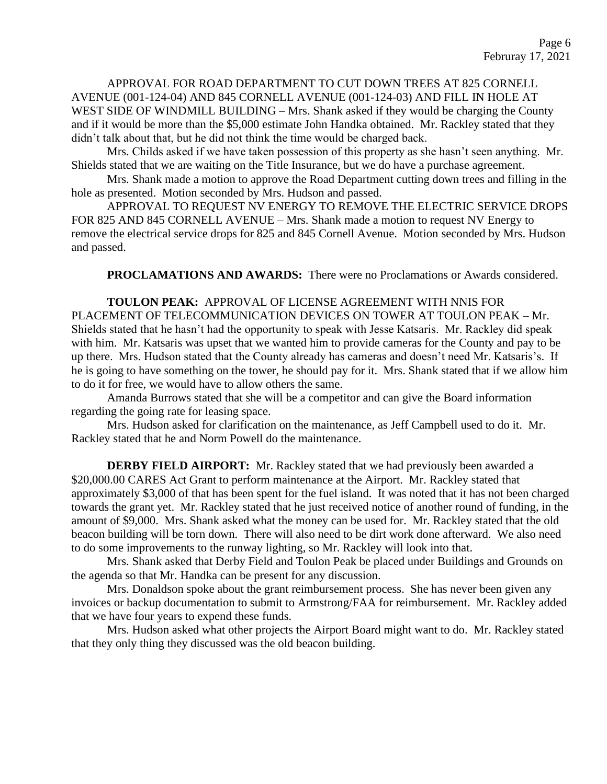APPROVAL FOR ROAD DEPARTMENT TO CUT DOWN TREES AT 825 CORNELL AVENUE (001-124-04) AND 845 CORNELL AVENUE (001-124-03) AND FILL IN HOLE AT WEST SIDE OF WINDMILL BUILDING – Mrs. Shank asked if they would be charging the County and if it would be more than the \$5,000 estimate John Handka obtained. Mr. Rackley stated that they didn't talk about that, but he did not think the time would be charged back.

Mrs. Childs asked if we have taken possession of this property as she hasn't seen anything. Mr. Shields stated that we are waiting on the Title Insurance, but we do have a purchase agreement.

Mrs. Shank made a motion to approve the Road Department cutting down trees and filling in the hole as presented. Motion seconded by Mrs. Hudson and passed.

APPROVAL TO REQUEST NV ENERGY TO REMOVE THE ELECTRIC SERVICE DROPS FOR 825 AND 845 CORNELL AVENUE – Mrs. Shank made a motion to request NV Energy to remove the electrical service drops for 825 and 845 Cornell Avenue. Motion seconded by Mrs. Hudson and passed.

**PROCLAMATIONS AND AWARDS:** There were no Proclamations or Awards considered.

**TOULON PEAK:** APPROVAL OF LICENSE AGREEMENT WITH NNIS FOR PLACEMENT OF TELECOMMUNICATION DEVICES ON TOWER AT TOULON PEAK – Mr. Shields stated that he hasn't had the opportunity to speak with Jesse Katsaris. Mr. Rackley did speak with him. Mr. Katsaris was upset that we wanted him to provide cameras for the County and pay to be up there. Mrs. Hudson stated that the County already has cameras and doesn't need Mr. Katsaris's. If he is going to have something on the tower, he should pay for it. Mrs. Shank stated that if we allow him to do it for free, we would have to allow others the same.

Amanda Burrows stated that she will be a competitor and can give the Board information regarding the going rate for leasing space.

Mrs. Hudson asked for clarification on the maintenance, as Jeff Campbell used to do it. Mr. Rackley stated that he and Norm Powell do the maintenance.

**DERBY FIELD AIRPORT:** Mr. Rackley stated that we had previously been awarded a \$20,000.00 CARES Act Grant to perform maintenance at the Airport. Mr. Rackley stated that approximately \$3,000 of that has been spent for the fuel island. It was noted that it has not been charged towards the grant yet. Mr. Rackley stated that he just received notice of another round of funding, in the amount of \$9,000. Mrs. Shank asked what the money can be used for. Mr. Rackley stated that the old beacon building will be torn down. There will also need to be dirt work done afterward. We also need to do some improvements to the runway lighting, so Mr. Rackley will look into that.

Mrs. Shank asked that Derby Field and Toulon Peak be placed under Buildings and Grounds on the agenda so that Mr. Handka can be present for any discussion.

Mrs. Donaldson spoke about the grant reimbursement process. She has never been given any invoices or backup documentation to submit to Armstrong/FAA for reimbursement. Mr. Rackley added that we have four years to expend these funds.

Mrs. Hudson asked what other projects the Airport Board might want to do. Mr. Rackley stated that they only thing they discussed was the old beacon building.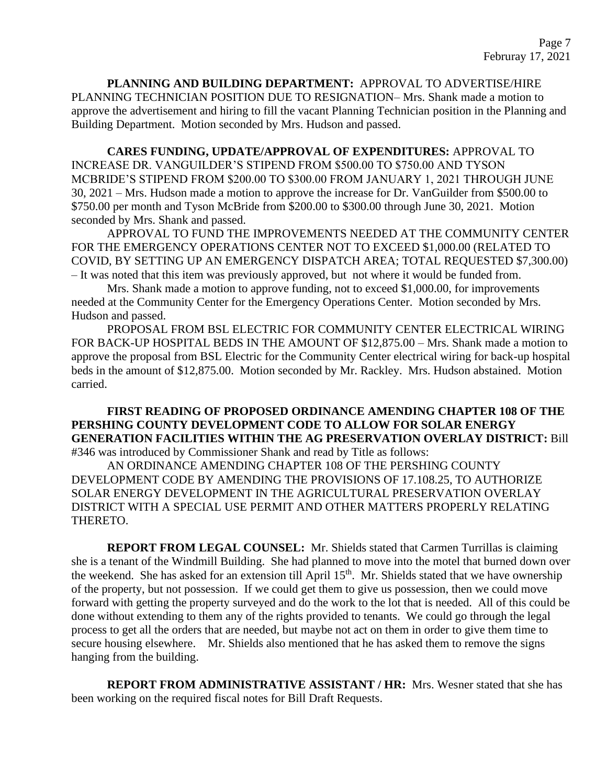**PLANNING AND BUILDING DEPARTMENT:** APPROVAL TO ADVERTISE/HIRE PLANNING TECHNICIAN POSITION DUE TO RESIGNATION– Mrs. Shank made a motion to approve the advertisement and hiring to fill the vacant Planning Technician position in the Planning and Building Department. Motion seconded by Mrs. Hudson and passed.

**CARES FUNDING, UPDATE/APPROVAL OF EXPENDITURES:** APPROVAL TO INCREASE DR. VANGUILDER'S STIPEND FROM \$500.00 TO \$750.00 AND TYSON MCBRIDE'S STIPEND FROM \$200.00 TO \$300.00 FROM JANUARY 1, 2021 THROUGH JUNE 30, 2021 – Mrs. Hudson made a motion to approve the increase for Dr. VanGuilder from \$500.00 to \$750.00 per month and Tyson McBride from \$200.00 to \$300.00 through June 30, 2021. Motion seconded by Mrs. Shank and passed.

APPROVAL TO FUND THE IMPROVEMENTS NEEDED AT THE COMMUNITY CENTER FOR THE EMERGENCY OPERATIONS CENTER NOT TO EXCEED \$1,000.00 (RELATED TO COVID, BY SETTING UP AN EMERGENCY DISPATCH AREA; TOTAL REQUESTED \$7,300.00) – It was noted that this item was previously approved, but not where it would be funded from.

Mrs. Shank made a motion to approve funding, not to exceed \$1,000.00, for improvements needed at the Community Center for the Emergency Operations Center. Motion seconded by Mrs. Hudson and passed.

PROPOSAL FROM BSL ELECTRIC FOR COMMUNITY CENTER ELECTRICAL WIRING FOR BACK-UP HOSPITAL BEDS IN THE AMOUNT OF \$12,875.00 – Mrs. Shank made a motion to approve the proposal from BSL Electric for the Community Center electrical wiring for back-up hospital beds in the amount of \$12,875.00. Motion seconded by Mr. Rackley. Mrs. Hudson abstained. Motion carried.

**FIRST READING OF PROPOSED ORDINANCE AMENDING CHAPTER 108 OF THE PERSHING COUNTY DEVELOPMENT CODE TO ALLOW FOR SOLAR ENERGY GENERATION FACILITIES WITHIN THE AG PRESERVATION OVERLAY DISTRICT:** Bill #346 was introduced by Commissioner Shank and read by Title as follows:

AN ORDINANCE AMENDING CHAPTER 108 OF THE PERSHING COUNTY DEVELOPMENT CODE BY AMENDING THE PROVISIONS OF 17.108.25, TO AUTHORIZE SOLAR ENERGY DEVELOPMENT IN THE AGRICULTURAL PRESERVATION OVERLAY DISTRICT WITH A SPECIAL USE PERMIT AND OTHER MATTERS PROPERLY RELATING THERETO.

**REPORT FROM LEGAL COUNSEL:** Mr. Shields stated that Carmen Turrillas is claiming she is a tenant of the Windmill Building. She had planned to move into the motel that burned down over the weekend. She has asked for an extension till April 15<sup>th</sup>. Mr. Shields stated that we have ownership of the property, but not possession. If we could get them to give us possession, then we could move forward with getting the property surveyed and do the work to the lot that is needed. All of this could be done without extending to them any of the rights provided to tenants. We could go through the legal process to get all the orders that are needed, but maybe not act on them in order to give them time to secure housing elsewhere. Mr. Shields also mentioned that he has asked them to remove the signs hanging from the building.

**REPORT FROM ADMINISTRATIVE ASSISTANT / HR:** Mrs. Wesner stated that she has been working on the required fiscal notes for Bill Draft Requests.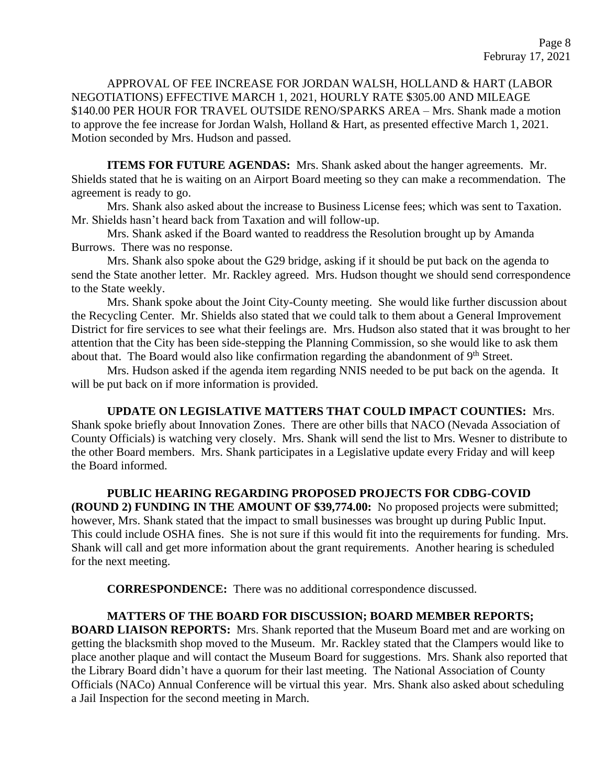APPROVAL OF FEE INCREASE FOR JORDAN WALSH, HOLLAND & HART (LABOR NEGOTIATIONS) EFFECTIVE MARCH 1, 2021, HOURLY RATE \$305.00 AND MILEAGE \$140.00 PER HOUR FOR TRAVEL OUTSIDE RENO/SPARKS AREA – Mrs. Shank made a motion to approve the fee increase for Jordan Walsh, Holland & Hart, as presented effective March 1, 2021. Motion seconded by Mrs. Hudson and passed.

**ITEMS FOR FUTURE AGENDAS:** Mrs. Shank asked about the hanger agreements. Mr. Shields stated that he is waiting on an Airport Board meeting so they can make a recommendation. The agreement is ready to go.

Mrs. Shank also asked about the increase to Business License fees; which was sent to Taxation. Mr. Shields hasn't heard back from Taxation and will follow-up.

Mrs. Shank asked if the Board wanted to readdress the Resolution brought up by Amanda Burrows. There was no response.

Mrs. Shank also spoke about the G29 bridge, asking if it should be put back on the agenda to send the State another letter. Mr. Rackley agreed. Mrs. Hudson thought we should send correspondence to the State weekly.

Mrs. Shank spoke about the Joint City-County meeting. She would like further discussion about the Recycling Center. Mr. Shields also stated that we could talk to them about a General Improvement District for fire services to see what their feelings are. Mrs. Hudson also stated that it was brought to her attention that the City has been side-stepping the Planning Commission, so she would like to ask them about that. The Board would also like confirmation regarding the abandonment of 9<sup>th</sup> Street.

Mrs. Hudson asked if the agenda item regarding NNIS needed to be put back on the agenda. It will be put back on if more information is provided.

# **UPDATE ON LEGISLATIVE MATTERS THAT COULD IMPACT COUNTIES:** Mrs.

Shank spoke briefly about Innovation Zones. There are other bills that NACO (Nevada Association of County Officials) is watching very closely. Mrs. Shank will send the list to Mrs. Wesner to distribute to the other Board members. Mrs. Shank participates in a Legislative update every Friday and will keep the Board informed.

# **PUBLIC HEARING REGARDING PROPOSED PROJECTS FOR CDBG-COVID**

**(ROUND 2) FUNDING IN THE AMOUNT OF \$39,774.00:** No proposed projects were submitted; however, Mrs. Shank stated that the impact to small businesses was brought up during Public Input. This could include OSHA fines. She is not sure if this would fit into the requirements for funding. Mrs. Shank will call and get more information about the grant requirements. Another hearing is scheduled for the next meeting.

**CORRESPONDENCE:** There was no additional correspondence discussed.

# **MATTERS OF THE BOARD FOR DISCUSSION; BOARD MEMBER REPORTS;**

**BOARD LIAISON REPORTS:** Mrs. Shank reported that the Museum Board met and are working on getting the blacksmith shop moved to the Museum. Mr. Rackley stated that the Clampers would like to place another plaque and will contact the Museum Board for suggestions. Mrs. Shank also reported that the Library Board didn't have a quorum for their last meeting. The National Association of County Officials (NACo) Annual Conference will be virtual this year. Mrs. Shank also asked about scheduling a Jail Inspection for the second meeting in March.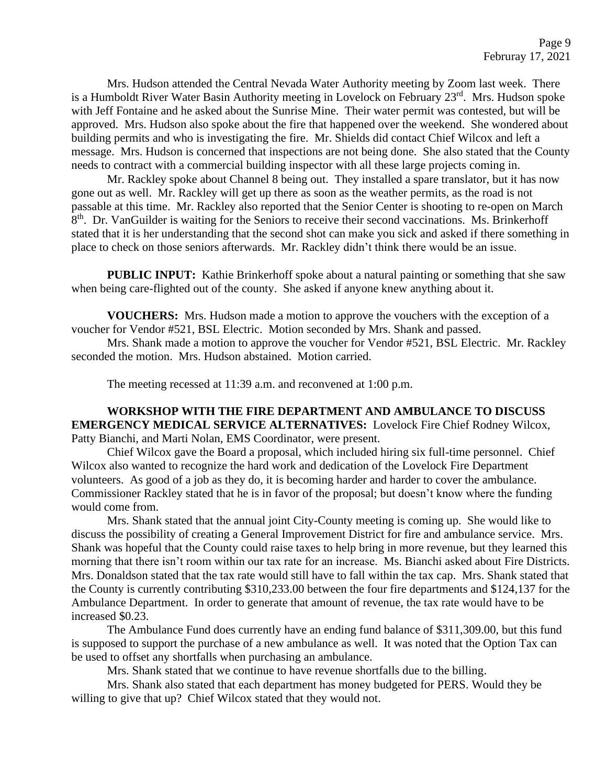Mrs. Hudson attended the Central Nevada Water Authority meeting by Zoom last week. There is a Humboldt River Water Basin Authority meeting in Lovelock on February 23<sup>rd</sup>. Mrs. Hudson spoke with Jeff Fontaine and he asked about the Sunrise Mine. Their water permit was contested, but will be approved. Mrs. Hudson also spoke about the fire that happened over the weekend. She wondered about building permits and who is investigating the fire. Mr. Shields did contact Chief Wilcox and left a message. Mrs. Hudson is concerned that inspections are not being done. She also stated that the County needs to contract with a commercial building inspector with all these large projects coming in.

Mr. Rackley spoke about Channel 8 being out. They installed a spare translator, but it has now gone out as well. Mr. Rackley will get up there as soon as the weather permits, as the road is not passable at this time. Mr. Rackley also reported that the Senior Center is shooting to re-open on March 8<sup>th</sup>. Dr. VanGuilder is waiting for the Seniors to receive their second vaccinations. Ms. Brinkerhoff stated that it is her understanding that the second shot can make you sick and asked if there something in place to check on those seniors afterwards. Mr. Rackley didn't think there would be an issue.

**PUBLIC INPUT:** Kathie Brinkerhoff spoke about a natural painting or something that she saw when being care-flighted out of the county. She asked if anyone knew anything about it.

**VOUCHERS:** Mrs. Hudson made a motion to approve the vouchers with the exception of a voucher for Vendor #521, BSL Electric. Motion seconded by Mrs. Shank and passed.

Mrs. Shank made a motion to approve the voucher for Vendor #521, BSL Electric. Mr. Rackley seconded the motion. Mrs. Hudson abstained. Motion carried.

The meeting recessed at 11:39 a.m. and reconvened at 1:00 p.m.

### **WORKSHOP WITH THE FIRE DEPARTMENT AND AMBULANCE TO DISCUSS EMERGENCY MEDICAL SERVICE ALTERNATIVES:** Lovelock Fire Chief Rodney Wilcox, Patty Bianchi, and Marti Nolan, EMS Coordinator, were present.

Chief Wilcox gave the Board a proposal, which included hiring six full-time personnel. Chief Wilcox also wanted to recognize the hard work and dedication of the Lovelock Fire Department volunteers. As good of a job as they do, it is becoming harder and harder to cover the ambulance. Commissioner Rackley stated that he is in favor of the proposal; but doesn't know where the funding would come from.

Mrs. Shank stated that the annual joint City-County meeting is coming up. She would like to discuss the possibility of creating a General Improvement District for fire and ambulance service. Mrs. Shank was hopeful that the County could raise taxes to help bring in more revenue, but they learned this morning that there isn't room within our tax rate for an increase. Ms. Bianchi asked about Fire Districts. Mrs. Donaldson stated that the tax rate would still have to fall within the tax cap. Mrs. Shank stated that the County is currently contributing \$310,233.00 between the four fire departments and \$124,137 for the Ambulance Department. In order to generate that amount of revenue, the tax rate would have to be increased \$0.23.

The Ambulance Fund does currently have an ending fund balance of \$311,309.00, but this fund is supposed to support the purchase of a new ambulance as well. It was noted that the Option Tax can be used to offset any shortfalls when purchasing an ambulance.

Mrs. Shank stated that we continue to have revenue shortfalls due to the billing.

Mrs. Shank also stated that each department has money budgeted for PERS. Would they be willing to give that up? Chief Wilcox stated that they would not.